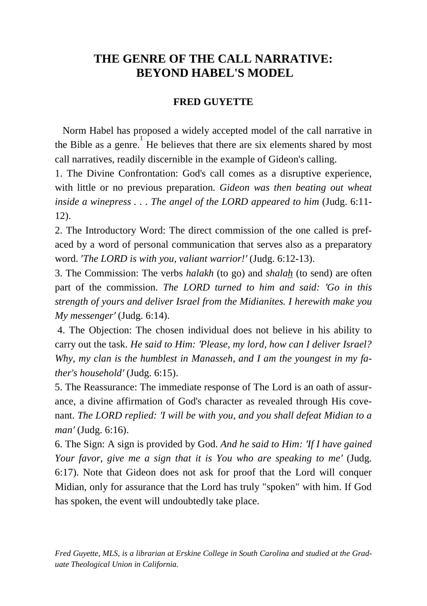# **THE GENRE OF THE CALL NARRATIVE: BEYOND HABEL'S MODEL**

# **FRED GUYETTE**

 Norm Habel has proposed a widely accepted model of the call narrative in the Bible as a genre. He believes that there are six elements shared by most call narratives, readily discernible in the example of Gideon's calling.

1. The Divine Confrontation: God's call comes as a disruptive experience, with little or no previous preparation. *Gideon was then beating out wheat inside a winepress . . . The angel of the LORD appeared to him* (Judg. 6:11- 12).

2. The Introductory Word: The direct commission of the one called is prefaced by a word of personal communication that serves also as a preparatory word. ′*The LORD is with you, valiant warrior!′* (Judg. 6:12-13).

3. The Commission: The verbs *halakh* (to go) and *shalah* (to send) are often part of the commission. *The LORD turned to him and said: ′Go in this strength of yours and deliver Israel from the Midianites. I herewith make you My messenger′* (Judg. 6:14).

4. The Objection: The chosen individual does not believe in his ability to carry out the task. *He said to Him: ′Please, my lord, how can I deliver Israel? Why, my clan is the humblest in Manasseh, and I am the youngest in my father's household′* (Judg. 6:15).

5. The Reassurance: The immediate response of The Lord is an oath of assurance, a divine affirmation of God's character as revealed through His covenant. *The LORD replied: ′I will be with you, and you shall defeat Midian to a man′* (Judg. 6:16).

6. The Sign: A sign is provided by God. *And he said to Him: ′If I have gained Your favor, give me a sign that it is You who are speaking to me′* (Judg. 6:17). Note that Gideon does not ask for proof that the Lord will conquer Midian, only for assurance that the Lord has truly "spoken" with him. If God has spoken, the event will undoubtedly take place.

*Fred Guyette, MLS, is a librarian at Erskine College in South Carolina and studied at the Graduate Theological Union in California.*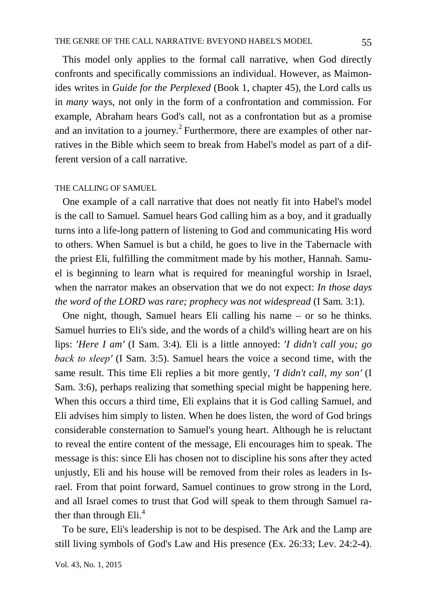This model only applies to the formal call narrative, when God directly confronts and specifically commissions an individual. However, as Maimonides writes in *Guide for the Perplexed* (Book 1, chapter 45), the Lord calls us in *many* ways, not only in the form of a confrontation and commission. For example, Abraham hears God's call, not as a confrontation but as a promise and an invitation to a journey.<sup>2</sup> Furthermore, there are examples of other narratives in the Bible which seem to break from Habel's model as part of a different version of a call narrative.

#### THE CALLING OF SAMUEL

 One example of a call narrative that does not neatly fit into Habel's model is the call to Samuel. Samuel hears God calling him as a boy, and it gradually turns into a life-long pattern of listening to God and communicating His word to others. When Samuel is but a child, he goes to live in the Tabernacle with the priest Eli, fulfilling the commitment made by his mother, Hannah. Samuel is beginning to learn what is required for meaningful worship in Israel, when the narrator makes an observation that we do not expect: *In those days the word of the LORD was rare; prophecy was not widespread* (I Sam. 3:1).

 One night, though, Samuel hears Eli calling his name – or so he thinks. Samuel hurries to Eli's side, and the words of a child's willing heart are on his lips: ′*Here I am′* (I Sam. 3:4)*.* Eli is a little annoyed: ′*I didn′t call you; go back to sleep′* (I Sam. 3:5). Samuel hears the voice a second time, with the same result. This time Eli replies a bit more gently, ′*I didn't call, my son′* (I Sam. 3:6), perhaps realizing that something special might be happening here. When this occurs a third time, Eli explains that it is God calling Samuel, and Eli advises him simply to listen. When he does listen, the word of God brings considerable consternation to Samuel's young heart. Although he is reluctant to reveal the entire content of the message, Eli encourages him to speak. The message is this: since Eli has chosen not to discipline his sons after they acted unjustly, Eli and his house will be removed from their roles as leaders in Israel. From that point forward, Samuel continues to grow strong in the Lord, and all Israel comes to trust that God will speak to them through Samuel rather than through Eli.<sup>4</sup>

 To be sure, Eli's leadership is not to be despised. The Ark and the Lamp are still living symbols of God's Law and His presence (Ex. 26:33; Lev. 24:2-4).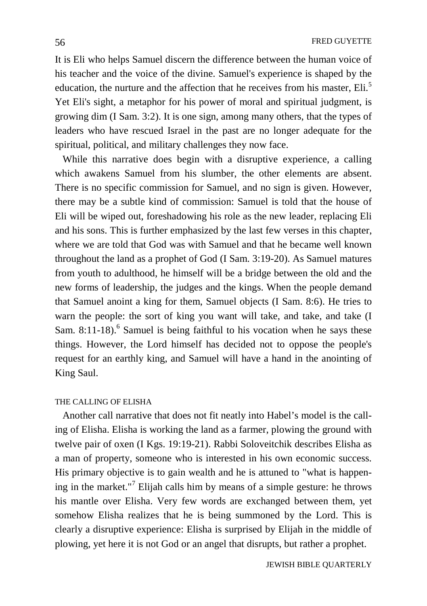It is Eli who helps Samuel discern the difference between the human voice of his teacher and the voice of the divine. Samuel's experience is shaped by the education, the nurture and the affection that he receives from his master, Eli.<sup>5</sup> Yet Eli's sight, a metaphor for his power of moral and spiritual judgment, is growing dim (I Sam. 3:2). It is one sign, among many others, that the types of leaders who have rescued Israel in the past are no longer adequate for the spiritual, political, and military challenges they now face.

 While this narrative does begin with a disruptive experience, a calling which awakens Samuel from his slumber, the other elements are absent. There is no specific commission for Samuel, and no sign is given. However, there may be a subtle kind of commission: Samuel is told that the house of Eli will be wiped out, foreshadowing his role as the new leader, replacing Eli and his sons. This is further emphasized by the last few verses in this chapter, where we are told that God was with Samuel and that he became well known throughout the land as a prophet of God (I Sam. 3:19-20). As Samuel matures from youth to adulthood, he himself will be a bridge between the old and the new forms of leadership, the judges and the kings. When the people demand that Samuel anoint a king for them, Samuel objects (I Sam. 8:6). He tries to warn the people: the sort of king you want will take, and take, and take (I Sam. 8:11-18).<sup>6</sup> Samuel is being faithful to his vocation when he says these things. However, the Lord himself has decided not to oppose the people's request for an earthly king, and Samuel will have a hand in the anointing of King Saul.

### THE CALLING OF ELISHA

 Another call narrative that does not fit neatly into Habel's model is the calling of Elisha. Elisha is working the land as a farmer, plowing the ground with twelve pair of oxen (I Kgs. 19:19-21). Rabbi Soloveitchik describes Elisha as a man of property, someone who is interested in his own economic success. His primary objective is to gain wealth and he is attuned to "what is happening in the market."<sup>7</sup> Elijah calls him by means of a simple gesture: he throws his mantle over Elisha. Very few words are exchanged between them, yet somehow Elisha realizes that he is being summoned by the Lord. This is clearly a disruptive experience: Elisha is surprised by Elijah in the middle of plowing, yet here it is not God or an angel that disrupts, but rather a prophet.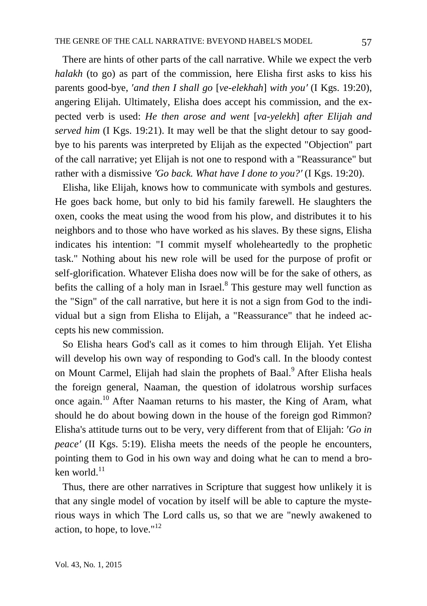There are hints of other parts of the call narrative. While we expect the verb *halakh* (to go) as part of the commission, here Elisha first asks to kiss his parents good-bye, ′*and then I shall go* [*ve-elekhah*] *with you′* (I Kgs. 19:20), angering Elijah. Ultimately, Elisha does accept his commission, and the expected verb is used: *He then arose and went* [*va-yelekh*] *after Elijah and served him* (I Kgs. 19:21). It may well be that the slight detour to say goodbye to his parents was interpreted by Elijah as the expected "Objection" part of the call narrative; yet Elijah is not one to respond with a "Reassurance" but rather with a dismissive *′Go back. What have I done to you?′* (I Kgs. 19:20).

 Elisha, like Elijah, knows how to communicate with symbols and gestures. He goes back home, but only to bid his family farewell. He slaughters the oxen, cooks the meat using the wood from his plow, and distributes it to his neighbors and to those who have worked as his slaves. By these signs, Elisha indicates his intention: "I commit myself wholeheartedly to the prophetic task." Nothing about his new role will be used for the purpose of profit or self-glorification. Whatever Elisha does now will be for the sake of others, as befits the calling of a holy man in Israel. $8$  This gesture may well function as the "Sign" of the call narrative, but here it is not a sign from God to the individual but a sign from Elisha to Elijah, a "Reassurance" that he indeed accepts his new commission.

 So Elisha hears God's call as it comes to him through Elijah. Yet Elisha will develop his own way of responding to God's call. In the bloody contest on Mount Carmel, Elijah had slain the prophets of Baal.<sup>9</sup> After Elisha heals the foreign general, Naaman, the question of idolatrous worship surfaces once again.10 After Naaman returns to his master, the King of Aram, what should he do about bowing down in the house of the foreign god Rimmon? Elisha's attitude turns out to be very, very different from that of Elijah: ′*Go in peace<sup>'</sup>* (II Kgs. 5:19). Elisha meets the needs of the people he encounters, pointing them to God in his own way and doing what he can to mend a broken world.<sup>11</sup>

 Thus, there are other narratives in Scripture that suggest how unlikely it is that any single model of vocation by itself will be able to capture the mysterious ways in which The Lord calls us, so that we are "newly awakened to action, to hope, to love." $12$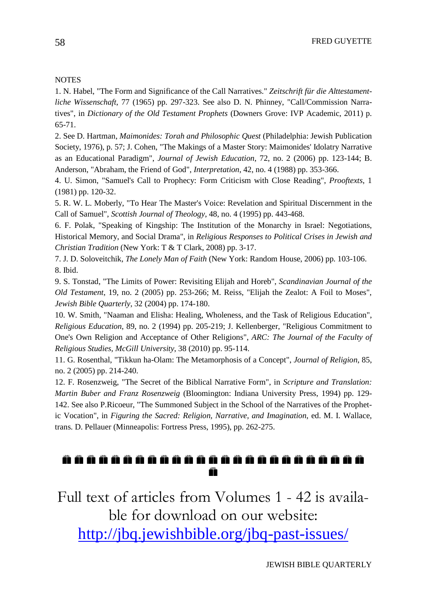#### **NOTES**

1. N. Habel, "The Form and Significance of the Call Narratives." *Zeitschrift für die Alttestamentliche Wissenschaft*, 77 (1965) pp. 297-323. See also D. N. Phinney, "Call/Commission Narratives", in *Dictionary of the Old Testament Prophets* (Downers Grove: IVP Academic, 2011) p. 65-71.

2. See D. Hartman, *Maimonides: Torah and Philosophic Quest* (Philadelphia: Jewish Publication Society, 1976), p. 57; J. Cohen, "The Makings of a Master Story: Maimonides' Idolatry Narrative as an Educational Paradigm", *Journal of Jewish Education*, 72, no. 2 (2006) pp. 123-144; B. Anderson, "Abraham, the Friend of God", *Interpretation*, 42, no. 4 (1988) pp. 353-366.

4. U. Simon, "Samuel's Call to Prophecy: Form Criticism with Close Reading", *Prooftexts*, 1 (1981) pp. 120-32.

5. R. W. L. Moberly, "To Hear The Master's Voice: Revelation and Spiritual Discernment in the Call of Samuel", *Scottish Journal of Theology*, 48, no. 4 (1995) pp. 443-468.

6. F. Polak, "Speaking of Kingship: The Institution of the Monarchy in Israel: Negotiations, Historical Memory, and Social Drama", in *Religious Responses to Political Crises in Jewish and Christian Tradition* (New York: T & T Clark, 2008) pp. 3-17.

7. J. D. Soloveitchik, *The Lonely Man of Faith* (New York: Random House, 2006) pp. 103-106. 8. Ibid.

9. S. Tonstad, "The Limits of Power: Revisiting Elijah and Horeb", *Scandinavian Journal of the Old Testament*, 19, no. 2 (2005) pp. 253-266; M. Reiss, "Elijah the Zealot: A Foil to Moses", *Jewish Bible Quarterly*, 32 (2004) pp. 174-180.

10. W. Smith, "Naaman and Elisha: Healing, Wholeness, and the Task of Religious Education", *Religious Education*, 89, no. 2 (1994) pp. 205-219; J. Kellenberger, "Religious Commitment to One's Own Religion and Acceptance of Other Religions", *ARC: The Journal of the Faculty of Religious Studies, McGill University*, 38 (2010) pp. 95-114.

11. G. Rosenthal, "Tikkun ha-Olam: The Metamorphosis of a Concept", *Journal of Religion*, 85, no. 2 (2005) pp. 214-240.

12. F. Rosenzweig, "The Secret of the Biblical Narrative Form", in *Scripture and Translation: Martin Buber and Franz Rosenzweig* (Bloomington: Indiana University Press, 1994) pp. 129- 142. See also P.Ricoeur, "The Summoned Subject in the School of the Narratives of the Prophetic Vocation", in *Figuring the Sacred: Religion, Narrative, and Imagination*, ed. M. I. Wallace, trans. D. Pellauer (Minneapolis: Fortress Press, 1995), pp. 262-275.

## ñ

Full text of articles from Volumes 1 - 42 is available for download on our website: <http://jbq.jewishbible.org/jbq-past-issues/>